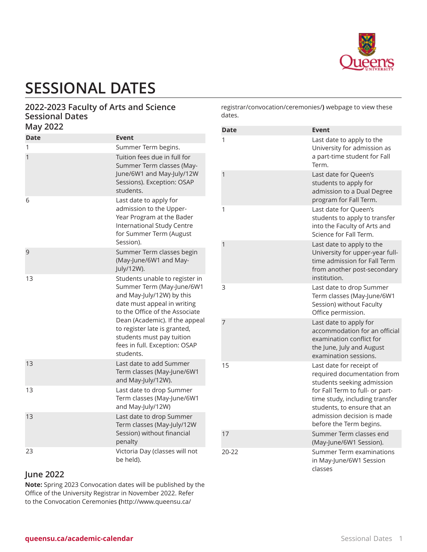

# **SESSIONAL DATES**

#### **2022-2023 Faculty of Arts and Science Sessional Dates May 2022**

| <b>Date</b> | <b>Event</b>                                                                                                                                                                                                                                                                                           |
|-------------|--------------------------------------------------------------------------------------------------------------------------------------------------------------------------------------------------------------------------------------------------------------------------------------------------------|
| 1           | Summer Term begins.                                                                                                                                                                                                                                                                                    |
| 1           | Tuition fees due in full for<br>Summer Term classes (May-<br>June/6W1 and May-July/12W<br>Sessions). Exception: OSAP<br>students.                                                                                                                                                                      |
| 6           | Last date to apply for<br>admission to the Upper-<br>Year Program at the Bader<br>International Study Centre<br>for Summer Term (August<br>Session).                                                                                                                                                   |
| 9           | Summer Term classes begin<br>(May-June/6W1 and May-<br>July/12W).                                                                                                                                                                                                                                      |
| 13          | Students unable to register in<br>Summer Term (May-June/6W1<br>and May-July/12W) by this<br>date must appeal in writing<br>to the Office of the Associate<br>Dean (Academic). If the appeal<br>to register late is granted,<br>students must pay tuition<br>fees in full. Exception: OSAP<br>students. |
| 13          | Last date to add Summer<br>Term classes (May-June/6W1<br>and May-July/12W).                                                                                                                                                                                                                            |
| 13          | Last date to drop Summer<br>Term classes (May-June/6W1<br>and May-July/12W)                                                                                                                                                                                                                            |
| 13          | Last date to drop Summer<br>Term classes (May-July/12W<br>Session) without financial<br>penalty                                                                                                                                                                                                        |
| 23          | Victoria Day (classes will not<br>be held).                                                                                                                                                                                                                                                            |

[registrar/convocation/ceremonies/](http://www.queensu.ca/registrar/convocation/ceremonies/)**)** webpage to view these dates.

| Date  | <b>Event</b>                                                                                                                                                                                                                                       |
|-------|----------------------------------------------------------------------------------------------------------------------------------------------------------------------------------------------------------------------------------------------------|
| 1     | Last date to apply to the<br>University for admission as<br>a part-time student for Fall<br>Term.                                                                                                                                                  |
| 1     | Last date for Queen's<br>students to apply for<br>admission to a Dual Degree<br>program for Fall Term.                                                                                                                                             |
| 1     | Last date for Queen's<br>students to apply to transfer<br>into the Faculty of Arts and<br>Science for Fall Term.                                                                                                                                   |
| 1     | Last date to apply to the<br>University for upper-year full-<br>time admission for Fall Term<br>from another post-secondary<br>institution.                                                                                                        |
| 3     | Last date to drop Summer<br>Term classes (May-June/6W1<br>Session) without Faculty<br>Office permission.                                                                                                                                           |
| 7     | Last date to apply for<br>accommodation for an official<br>examination conflict for<br>the June, July and August<br>examination sessions.                                                                                                          |
| 15    | Last date for receipt of<br>required documentation from<br>students seeking admission<br>for Fall Term to full- or part-<br>time study, including transfer<br>students, to ensure that an<br>admission decision is made<br>before the Term begins. |
| 17    | Summer Term classes end<br>(May-June/6W1 Session).                                                                                                                                                                                                 |
| 20-22 | Summer Term examinations<br>in May-June/6W1 Session<br>classes                                                                                                                                                                                     |

#### **June 2022**

**Note:** Spring 2023 Convocation dates will be published by the Office of the University Registrar in November 2022. Refer to the [Convocation](http://www.queensu.ca/registrar/convocation/ceremonies/) Ceremonies **(**[http://www.queensu.ca/](http://www.queensu.ca/registrar/convocation/ceremonies/)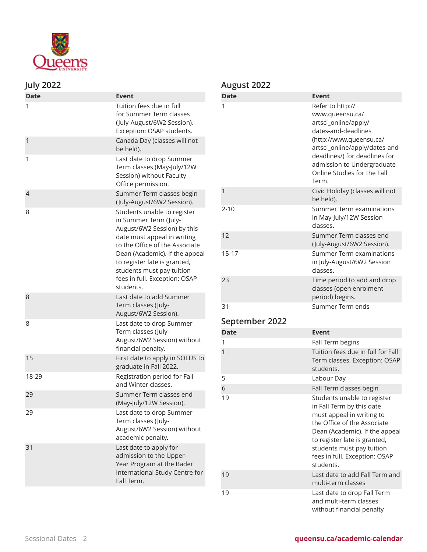

## **July 2022**

| <b>Date</b>    | <b>Event</b>                                                                                                                                                                                                                                                                                      |
|----------------|---------------------------------------------------------------------------------------------------------------------------------------------------------------------------------------------------------------------------------------------------------------------------------------------------|
| 1              | Tuition fees due in full<br>for Summer Term classes<br>(July-August/6W2 Session).<br>Exception: OSAP students.                                                                                                                                                                                    |
| 1              | Canada Day (classes will not<br>be held).                                                                                                                                                                                                                                                         |
| 1              | Last date to drop Summer<br>Term classes (May-July/12W<br>Session) without Faculty<br>Office permission.                                                                                                                                                                                          |
| $\overline{4}$ | Summer Term classes begin<br>(July-August/6W2 Session).                                                                                                                                                                                                                                           |
| 8              | Students unable to register<br>in Summer Term (July-<br>August/6W2 Session) by this<br>date must appeal in writing<br>to the Office of the Associate<br>Dean (Academic). If the appeal<br>to register late is granted,<br>students must pay tuition<br>fees in full. Exception: OSAP<br>students. |
| 8              | Last date to add Summer<br>Term classes (July-<br>August/6W2 Session).                                                                                                                                                                                                                            |
| 8              | Last date to drop Summer<br>Term classes (July-<br>August/6W2 Session) without<br>financial penalty.                                                                                                                                                                                              |
| 15             | First date to apply in SOLUS to<br>graduate in Fall 2022.                                                                                                                                                                                                                                         |
| 18-29          | Registration period for Fall<br>and Winter classes.                                                                                                                                                                                                                                               |
| 29             | Summer Term classes end<br>(May-July/12W Session).                                                                                                                                                                                                                                                |
| 29             | Last date to drop Summer<br>Term classes (July-<br>August/6W2 Session) without<br>academic penalty.                                                                                                                                                                                               |
| 31             | Last date to apply for<br>admission to the Upper-<br>Year Program at the Bader<br>International Study Centre for<br>Fall Term.                                                                                                                                                                    |

## **August 2022**

| <b>Date</b> | Event                                                                                                                                                                                                                                                  |
|-------------|--------------------------------------------------------------------------------------------------------------------------------------------------------------------------------------------------------------------------------------------------------|
| 1           | Refer to http://<br>www.queensu.ca/<br>artsci_online/apply/<br>dates-and-deadlines<br>(http://www.queensu.ca/<br>artsci_online/apply/dates-and-<br>deadlines/) for deadlines for<br>admission to Undergraduate<br>Online Studies for the Fall<br>Term. |
| 1           | Civic Holiday (classes will not<br>be held).                                                                                                                                                                                                           |
| $2 - 10$    | Summer Term examinations<br>in May-July/12W Session<br>classes.                                                                                                                                                                                        |
| 12          | Summer Term classes end<br>(July-August/6W2 Session).                                                                                                                                                                                                  |
| $15 - 17$   | Summer Term examinations<br>in July-August/6W2 Session<br>classes.                                                                                                                                                                                     |
| 23          | Time period to add and drop<br>classes (open enrolment<br>period) begins.                                                                                                                                                                              |
| 31          | Summer Term ends                                                                                                                                                                                                                                       |

# **September 2022**

| <b>Date</b> | <b>Event</b>                                                                                                                                                                                                                                                      |
|-------------|-------------------------------------------------------------------------------------------------------------------------------------------------------------------------------------------------------------------------------------------------------------------|
| 1           | Fall Term begins                                                                                                                                                                                                                                                  |
| 1           | Tuition fees due in full for Fall<br>Term classes. Exception: OSAP<br>students.                                                                                                                                                                                   |
| 5           | Labour Day                                                                                                                                                                                                                                                        |
| 6           | Fall Term classes begin                                                                                                                                                                                                                                           |
| 19          | Students unable to register<br>in Fall Term by this date<br>must appeal in writing to<br>the Office of the Associate<br>Dean (Academic). If the appeal<br>to register late is granted,<br>students must pay tuition<br>fees in full. Exception: OSAP<br>students. |
| 19          | Last date to add Fall Term and<br>multi-term classes                                                                                                                                                                                                              |
| 19          | Last date to drop Fall Term<br>and multi-term classes<br>without financial penalty                                                                                                                                                                                |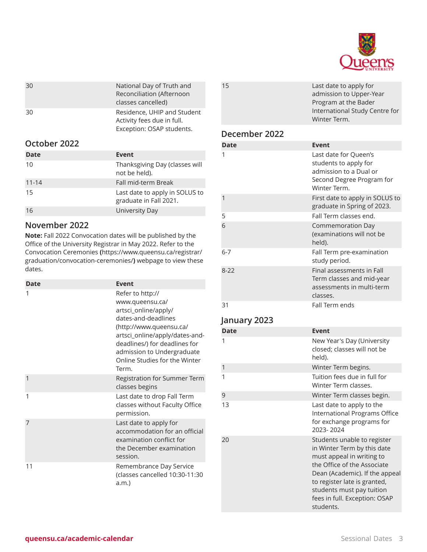

| 30 | National Day of Truth and<br>Reconciliation (Afternoon<br>classes cancelled)           |
|----|----------------------------------------------------------------------------------------|
| 30 | Residence, UHIP and Student<br>Activity fees due in full.<br>Exception: OSAP students. |

#### **October 2022**

| Date      | Event                                                    |
|-----------|----------------------------------------------------------|
| 10        | Thanksgiving Day (classes will<br>not be held).          |
| $11 - 14$ | Fall mid-term Break                                      |
| 15        | Last date to apply in SOLUS to<br>graduate in Fall 2021. |
| 16        | University Day                                           |

#### **November 2022**

**Note:** Fall 2022 Convocation dates will be published by the Office of the University Registrar in May 2022. Refer to the [Convocation](https://www.queensu.ca/registrar/graduation/convocation-ceremonies/) Ceremonies **(**[https://www.queensu.ca/registrar/](https://www.queensu.ca/registrar/graduation/convocation-ceremonies/) [graduation/convocation-ceremonies/](https://www.queensu.ca/registrar/graduation/convocation-ceremonies/)**)** webpage to view these dates.

| <b>Date</b> | Event                                                                                                                                                                                                                                                    |
|-------------|----------------------------------------------------------------------------------------------------------------------------------------------------------------------------------------------------------------------------------------------------------|
| 1           | Refer to http://<br>www.queensu.ca/<br>artsci_online/apply/<br>dates-and-deadlines<br>(http://www.queensu.ca/<br>artsci_online/apply/dates-and-<br>deadlines/) for deadlines for<br>admission to Undergraduate<br>Online Studies for the Winter<br>Term. |
| 1           | Registration for Summer Term<br>classes begins                                                                                                                                                                                                           |
| 1           | Last date to drop Fall Term<br>classes without Faculty Office<br>permission.                                                                                                                                                                             |
| 7           | Last date to apply for<br>accommodation for an official<br>examination conflict for<br>the December examination<br>session.                                                                                                                              |
| 11          | Remembrance Day Service<br>(classes cancelled 10:30-11:30<br>a.m.                                                                                                                                                                                        |

| 15            | Last date to apply for         |
|---------------|--------------------------------|
|               | admission to Upper-Year        |
|               | Program at the Bader           |
|               | International Study Centre for |
|               | Winter Term.                   |
| December 2022 |                                |

#### **December 2022**

| <b>Date</b> | Event                                                                                                                 |
|-------------|-----------------------------------------------------------------------------------------------------------------------|
| 1           | Last date for Queen's<br>students to apply for<br>admission to a Dual or<br>Second Degree Program for<br>Winter Term. |
| 1           | First date to apply in SOLUS to<br>graduate in Spring of 2023.                                                        |
| 5           | Fall Term classes end.                                                                                                |
| 6           | <b>Commemoration Day</b><br>(examinations will not be<br>held).                                                       |
| 6-7         | Fall Term pre-examination<br>study period.                                                                            |
| $8 - 22$    | Final assessments in Fall<br>Term classes and mid-year<br>assessments in multi-term<br>classes.                       |
| 31          | Fall Term ends                                                                                                        |

## **January 2023**

| <b>Date</b> | <b>Event</b>                                                                                                                                                                                                                                                        |
|-------------|---------------------------------------------------------------------------------------------------------------------------------------------------------------------------------------------------------------------------------------------------------------------|
| 1           | New Year's Day (University<br>closed; classes will not be<br>held).                                                                                                                                                                                                 |
| 1           | Winter Term begins.                                                                                                                                                                                                                                                 |
| 1           | Tuition fees due in full for<br>Winter Term classes.                                                                                                                                                                                                                |
| 9           | Winter Term classes begin.                                                                                                                                                                                                                                          |
| 13          | Last date to apply to the<br>International Programs Office<br>for exchange programs for<br>2023-2024                                                                                                                                                                |
| 20          | Students unable to register<br>in Winter Term by this date<br>must appeal in writing to<br>the Office of the Associate<br>Dean (Academic). If the appeal<br>to register late is granted,<br>students must pay tuition<br>fees in full. Exception: OSAP<br>students. |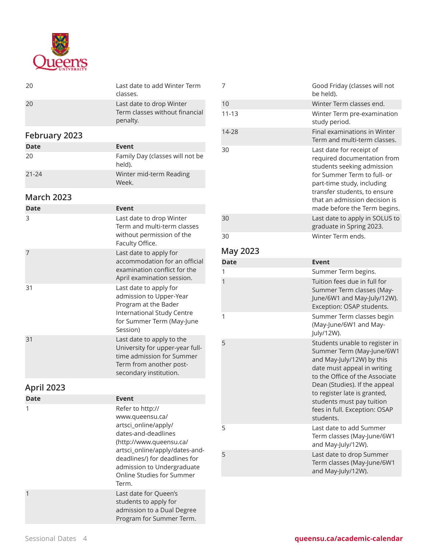

| 20                | Last date to add Winter Term<br>classes.                                                                                                         |
|-------------------|--------------------------------------------------------------------------------------------------------------------------------------------------|
| 20                | Last date to drop Winter<br>Term classes without financial<br>penalty.                                                                           |
| February 2023     |                                                                                                                                                  |
| <b>Date</b>       | Event                                                                                                                                            |
| 20                | Family Day (classes will not be<br>held).                                                                                                        |
| $21 - 24$         | Winter mid-term Reading<br>Week.                                                                                                                 |
| <b>March 2023</b> |                                                                                                                                                  |
| <b>Date</b>       | <b>Event</b>                                                                                                                                     |
|                   |                                                                                                                                                  |
| 3                 | Last date to drop Winter<br>Term and multi-term classes<br>without permission of the<br>Faculty Office.                                          |
| 7                 | Last date to apply for<br>accommodation for an official<br>examination conflict for the<br>April examination session.                            |
| 31                | Last date to apply for<br>admission to Upper-Year<br>Program at the Bader<br>International Study Centre<br>for Summer Term (May-June<br>Session) |

# **April 2023**

| Date | Event                                                                                                                                                                                                                                                |
|------|------------------------------------------------------------------------------------------------------------------------------------------------------------------------------------------------------------------------------------------------------|
| 1    | Refer to http://<br>www.queensu.ca/<br>artsci_online/apply/<br>dates-and-deadlines<br>(http://www.queensu.ca/<br>artsci_online/apply/dates-and-<br>deadlines/) for deadlines for<br>admission to Undergraduate<br>Online Studies for Summer<br>Term. |
|      | Last date for Queen's<br>students to apply for<br>admission to a Dual Degree<br>Program for Summer Term.                                                                                                                                             |

time admission for Summer Term from another postsecondary institution.

| 7           | Good Friday (classes will not<br>be held).                                                                                                                                                                                                          |
|-------------|-----------------------------------------------------------------------------------------------------------------------------------------------------------------------------------------------------------------------------------------------------|
| 10          | Winter Term classes end.                                                                                                                                                                                                                            |
| $11 - 13$   | Winter Term pre-examination<br>study period.                                                                                                                                                                                                        |
| 14-28       | Final examinations in Winter<br>Term and multi-term classes.                                                                                                                                                                                        |
| 30          | Last date for receipt of<br>required documentation from<br>students seeking admission<br>for Summer Term to full- or<br>part-time study, including<br>transfer students, to ensure<br>that an admission decision is<br>made before the Term begins. |
| 30          | Last date to apply in SOLUS to<br>graduate in Spring 2023.                                                                                                                                                                                          |
| 30          | Winter Term ends.                                                                                                                                                                                                                                   |
| May 2023    |                                                                                                                                                                                                                                                     |
| <b>Date</b> | <b>Event</b>                                                                                                                                                                                                                                        |
| 1           | Summer Term begins.                                                                                                                                                                                                                                 |

| 1              | Summer Term begins.                                                                                                                                                                                                                                                                                   |
|----------------|-------------------------------------------------------------------------------------------------------------------------------------------------------------------------------------------------------------------------------------------------------------------------------------------------------|
| $\overline{1}$ | Tuition fees due in full for<br>Summer Term classes (May-<br>June/6W1 and May-July/12W).<br>Exception: OSAP students.                                                                                                                                                                                 |
| 1              | Summer Term classes begin<br>(May-June/6W1 and May-<br>July/12W).                                                                                                                                                                                                                                     |
| 5              | Students unable to register in<br>Summer Term (May-June/6W1<br>and May-July/12W) by this<br>date must appeal in writing<br>to the Office of the Associate<br>Dean (Studies). If the appeal<br>to register late is granted,<br>students must pay tuition<br>fees in full. Exception: OSAP<br>students. |
| 5              | Last date to add Summer<br>Term classes (May-June/6W1<br>and May-July/12W).                                                                                                                                                                                                                           |
| 5              | Last date to drop Summer<br>Term classes (May-June/6W1<br>and May-July/12W).                                                                                                                                                                                                                          |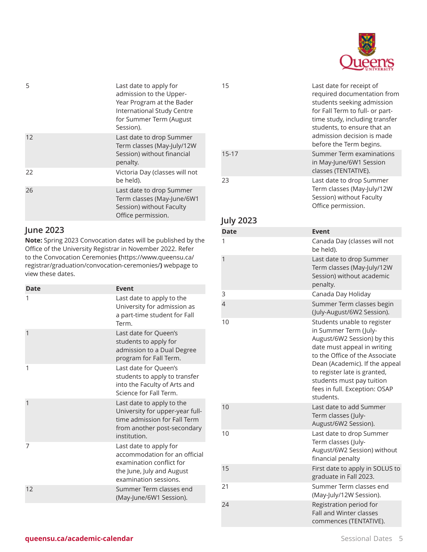

| 5  | Last date to apply for<br>admission to the Upper-<br>Year Program at the Bader<br>International Study Centre<br>for Summer Term (August<br>Session). |
|----|------------------------------------------------------------------------------------------------------------------------------------------------------|
| 12 | Last date to drop Summer<br>Term classes (May-July/12W<br>Session) without financial<br>penalty.                                                     |
| 22 | Victoria Day (classes will not<br>be held).                                                                                                          |
| 26 | Last date to drop Summer<br>Term classes (May-June/6W1<br>Session) without Faculty<br>Office permission.                                             |

## **June 2023**

**Note:** Spring 2023 Convocation dates will be published by the Office of the University Registrar in November 2022. Refer to the [Convocation](https://www.queensu.ca/registrar/graduation/convocation-ceremonies/) Ceremonies **(**[https://www.queensu.ca/](https://www.queensu.ca/registrar/graduation/convocation-ceremonies/) [registrar/graduation/convocation-ceremonies/](https://www.queensu.ca/registrar/graduation/convocation-ceremonies/)**)** webpage to view these dates.

| <b>Date</b> | <b>Event</b>                                                                                                                                |
|-------------|---------------------------------------------------------------------------------------------------------------------------------------------|
| 1           | Last date to apply to the<br>University for admission as<br>a part-time student for Fall<br>Term.                                           |
| 1           | Last date for Queen's<br>students to apply for<br>admission to a Dual Degree<br>program for Fall Term.                                      |
| 1           | Last date for Queen's<br>students to apply to transfer<br>into the Faculty of Arts and<br>Science for Fall Term.                            |
| 1           | Last date to apply to the<br>University for upper-year full-<br>time admission for Fall Term<br>from another post-secondary<br>institution. |
| 7           | Last date to apply for<br>accommodation for an official<br>examination conflict for<br>the June, July and August<br>examination sessions.   |
| 12          | Summer Term classes end<br>(May-June/6W1 Session).                                                                                          |

| 15          | Last date for receipt of<br>required documentation from<br>students seeking admission<br>for Fall Term to full- or part-<br>time study, including transfer<br>students, to ensure that an<br>admission decision is made<br>before the Term begins.                                                |
|-------------|---------------------------------------------------------------------------------------------------------------------------------------------------------------------------------------------------------------------------------------------------------------------------------------------------|
| $15 - 17$   | <b>Summer Term examinations</b><br>in May-June/6W1 Session<br>classes (TENTATIVE).                                                                                                                                                                                                                |
| 23          | Last date to drop Summer<br>Term classes (May-July/12W<br>Session) without Faculty<br>Office permission.                                                                                                                                                                                          |
| July 2023   |                                                                                                                                                                                                                                                                                                   |
| <b>Date</b> | Event                                                                                                                                                                                                                                                                                             |
| 1           | Canada Day (classes will not<br>be held).                                                                                                                                                                                                                                                         |
| 1           | Last date to drop Summer<br>Term classes (May-July/12W<br>Session) without academic<br>penalty.                                                                                                                                                                                                   |
| 3           | Canada Day Holiday                                                                                                                                                                                                                                                                                |
| 4           | Summer Term classes begin<br>(July-August/6W2 Session).                                                                                                                                                                                                                                           |
| 10          | Students unable to register<br>in Summer Term (July-<br>August/6W2 Session) by this<br>date must appeal in writing<br>to the Office of the Associate<br>Dean (Academic). If the appeal<br>to register late is granted,<br>students must pay tuition<br>fees in full. Exception: OSAP<br>students. |
| 10          | Last date to add Summer<br>Term classes (July-<br>August/6W2 Session).                                                                                                                                                                                                                            |
| 10          | Last date to drop Summer<br>Term classes (July-<br>August/6W2 Session) without<br>financial penalty                                                                                                                                                                                               |
| 15          | First date to apply in SOLUS to<br>graduate in Fall 2023.                                                                                                                                                                                                                                         |
| 21          | Summer Term classes end<br>(May-July/12W Session).                                                                                                                                                                                                                                                |
| 24          | Registration period for<br><b>Fall and Winter classes</b><br>commences (TENTATIVE).                                                                                                                                                                                                               |